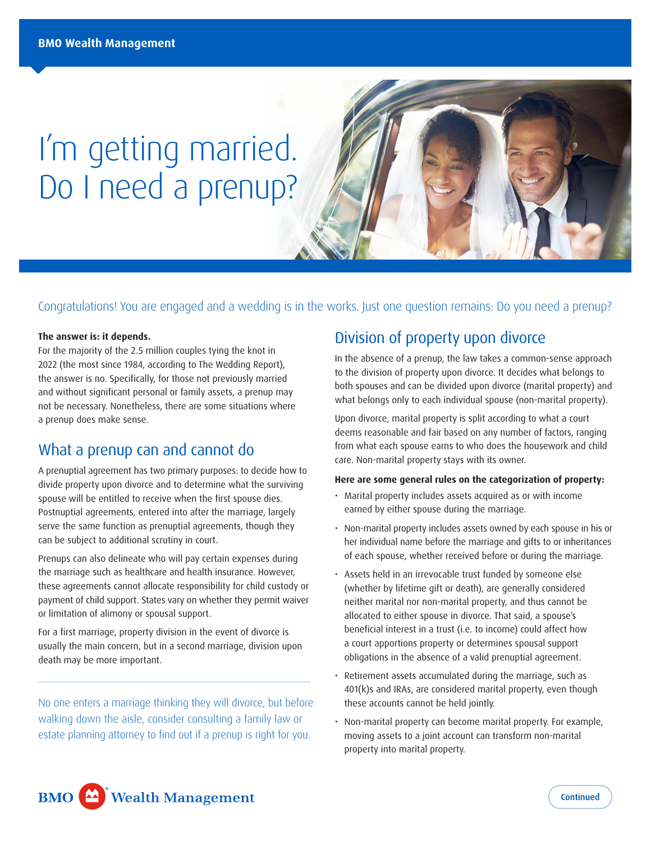# I'm getting married. Do I need a prenup?

#### Congratulations! You are engaged and a wedding is in the works. Just one question remains: Do you need a prenup?

#### **The answer is: it depends.**

For the majority of the 2.5 million couples tying the knot in 2022 (the most since 1984, according to The Wedding Report), the answer is no. Specifically, for those not previously married and without significant personal or family assets, a prenup may not be necessary. Nonetheless, there are some situations where a prenup does make sense.

### What a prenup can and cannot do

A prenuptial agreement has two primary purposes: to decide how to divide property upon divorce and to determine what the surviving spouse will be entitled to receive when the first spouse dies. Postnuptial agreements, entered into after the marriage, largely serve the same function as prenuptial agreements, though they can be subject to additional scrutiny in court.

Prenups can also delineate who will pay certain expenses during the marriage such as healthcare and health insurance. However, these agreements cannot allocate responsibility for child custody or payment of child support. States vary on whether they permit waiver or limitation of alimony or spousal support.

For a first marriage, property division in the event of divorce is usually the main concern, but in a second marriage, division upon death may be more important.

No one enters a marriage thinking they will divorce, but before walking down the aisle, consider consulting a family law or estate planning attorney to find out if a prenup is right for you.

## Division of property upon divorce

In the absence of a prenup, the law takes a common-sense approach to the division of property upon divorce. It decides what belongs to both spouses and can be divided upon divorce (marital property) and what belongs only to each individual spouse (non-marital property).

Upon divorce, marital property is split according to what a court deems reasonable and fair based on any number of factors, ranging from what each spouse earns to who does the housework and child care. Non-marital property stays with its owner.

#### **Here are some general rules on the categorization of property:**

- Marital property includes assets acquired as or with income earned by either spouse during the marriage.
- Non-marital property includes assets owned by each spouse in his or her individual name before the marriage and gifts to or inheritances of each spouse, whether received before or during the marriage.
- Assets held in an irrevocable trust funded by someone else (whether by lifetime gift or death), are generally considered neither marital nor non-marital property, and thus cannot be allocated to either spouse in divorce. That said, a spouse's beneficial interest in a trust (i.e. to income) could affect how a court apportions property or determines spousal support obligations in the absence of a valid prenuptial agreement.
- Retirement assets accumulated during the marriage, such as 401(k)s and IRAs, are considered marital property, even though these accounts cannot be held jointly.
- Non-marital property can become marital property. For example, moving assets to a joint account can transform non-marital property into marital property.

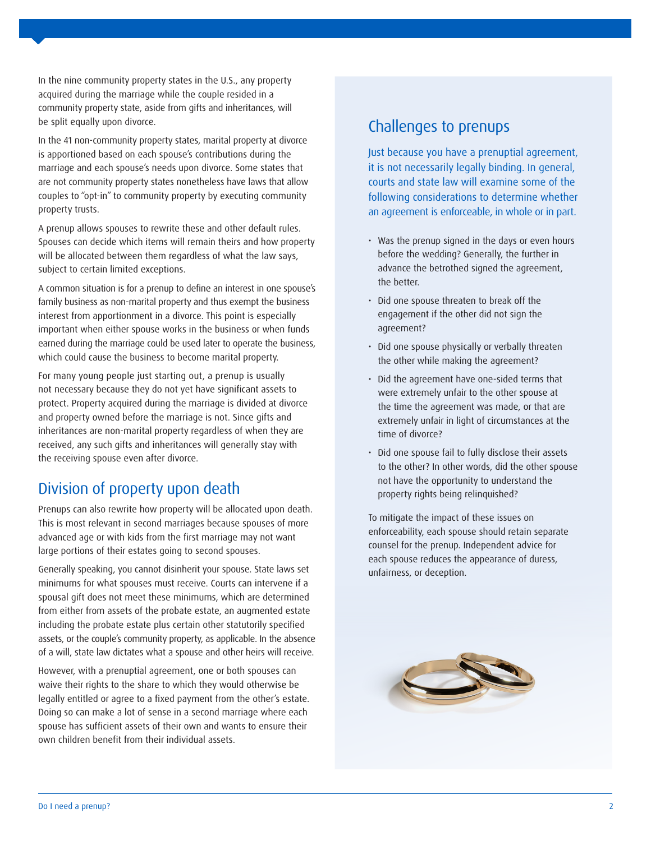In the nine community property states in the U.S., any property acquired during the marriage while the couple resided in a community property state, aside from gifts and inheritances, will be split equally upon divorce.

In the 41 non-community property states, marital property at divorce is apportioned based on each spouse's contributions during the marriage and each spouse's needs upon divorce. Some states that are not community property states nonetheless have laws that allow couples to "opt-in" to community property by executing community property trusts.

A prenup allows spouses to rewrite these and other default rules. Spouses can decide which items will remain theirs and how property will be allocated between them regardless of what the law says, subject to certain limited exceptions.

A common situation is for a prenup to define an interest in one spouse's family business as non-marital property and thus exempt the business interest from apportionment in a divorce. This point is especially important when either spouse works in the business or when funds earned during the marriage could be used later to operate the business, which could cause the business to become marital property.

For many young people just starting out, a prenup is usually not necessary because they do not yet have significant assets to protect. Property acquired during the marriage is divided at divorce and property owned before the marriage is not. Since gifts and inheritances are non-marital property regardless of when they are received, any such gifts and inheritances will generally stay with the receiving spouse even after divorce.

# Division of property upon death

Prenups can also rewrite how property will be allocated upon death. This is most relevant in second marriages because spouses of more advanced age or with kids from the first marriage may not want large portions of their estates going to second spouses.

Generally speaking, you cannot disinherit your spouse. State laws set minimums for what spouses must receive. Courts can intervene if a spousal gift does not meet these minimums, which are determined from either from assets of the probate estate, an augmented estate including the probate estate plus certain other statutorily specified assets, or the couple's community property, as applicable. In the absence of a will, state law dictates what a spouse and other heirs will receive.

However, with a prenuptial agreement, one or both spouses can waive their rights to the share to which they would otherwise be legally entitled or agree to a fixed payment from the other's estate. Doing so can make a lot of sense in a second marriage where each spouse has sufficient assets of their own and wants to ensure their own children benefit from their individual assets.

# Challenges to prenups

Just because you have a prenuptial agreement, it is not necessarily legally binding. In general, courts and state law will examine some of the following considerations to determine whether an agreement is enforceable, in whole or in part.

- Was the prenup signed in the days or even hours before the wedding? Generally, the further in advance the betrothed signed the agreement, the better.
- Did one spouse threaten to break off the engagement if the other did not sign the agreement?
- Did one spouse physically or verbally threaten the other while making the agreement?
- Did the agreement have one-sided terms that were extremely unfair to the other spouse at the time the agreement was made, or that are extremely unfair in light of circumstances at the time of divorce?
- Did one spouse fail to fully disclose their assets to the other? In other words, did the other spouse not have the opportunity to understand the property rights being relinquished?

To mitigate the impact of these issues on enforceability, each spouse should retain separate counsel for the prenup. Independent advice for each spouse reduces the appearance of duress, unfairness, or deception.